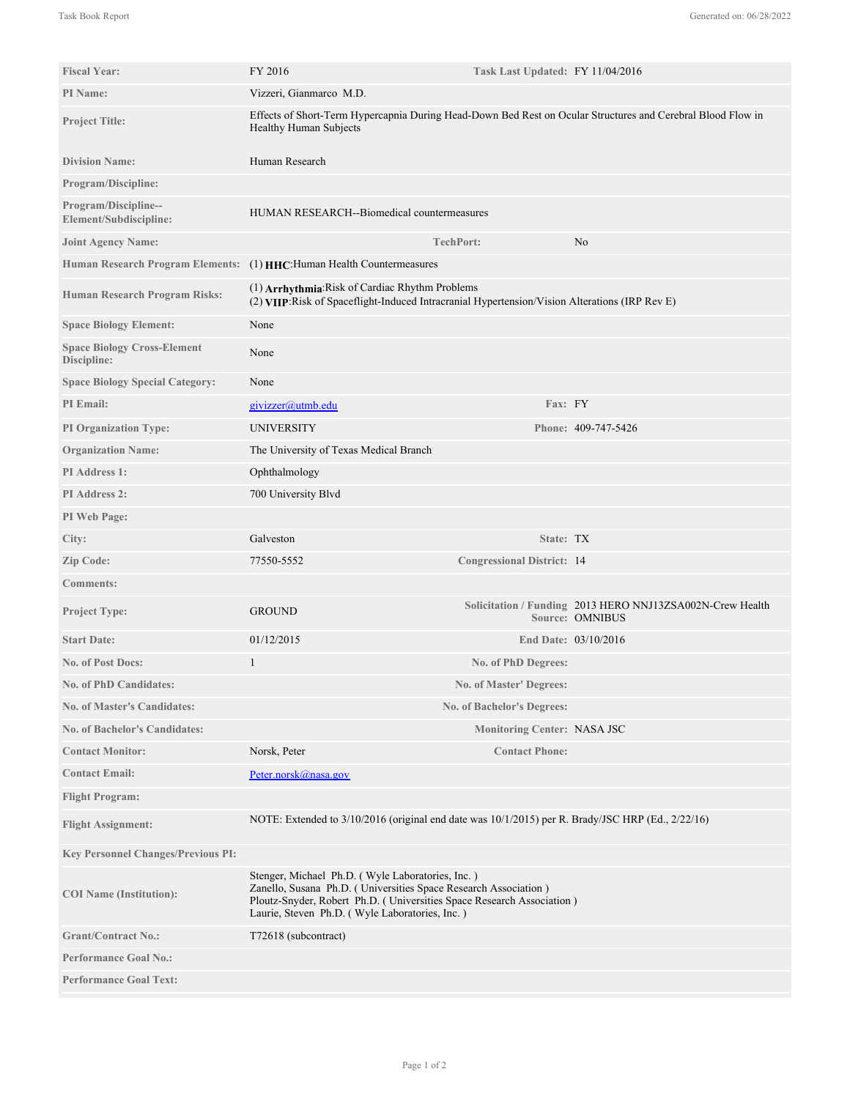| <b>Fiscal Year:</b>                               | FY 2016<br>Task Last Updated: FY 11/04/2016                                                                                                                                                                                                    |                                    |                                                                                     |
|---------------------------------------------------|------------------------------------------------------------------------------------------------------------------------------------------------------------------------------------------------------------------------------------------------|------------------------------------|-------------------------------------------------------------------------------------|
| <b>PI</b> Name:                                   | Vizzeri, Gianmarco M.D.                                                                                                                                                                                                                        |                                    |                                                                                     |
| <b>Project Title:</b>                             | Effects of Short-Term Hypercapnia During Head-Down Bed Rest on Ocular Structures and Cerebral Blood Flow in<br>Healthy Human Subjects                                                                                                          |                                    |                                                                                     |
| <b>Division Name:</b>                             | Human Research                                                                                                                                                                                                                                 |                                    |                                                                                     |
| <b>Program/Discipline:</b>                        |                                                                                                                                                                                                                                                |                                    |                                                                                     |
| Program/Discipline--<br>Element/Subdiscipline:    | HUMAN RESEARCH--Biomedical countermeasures                                                                                                                                                                                                     |                                    |                                                                                     |
| <b>Joint Agency Name:</b>                         |                                                                                                                                                                                                                                                | <b>TechPort:</b>                   | No                                                                                  |
|                                                   | Human Research Program Elements: (1) HHC: Human Health Countermeasures                                                                                                                                                                         |                                    |                                                                                     |
| Human Research Program Risks:                     | (1) Arrhythmia: Risk of Cardiac Rhythm Problems<br>(2) VIIP: Risk of Spaceflight-Induced Intracranial Hypertension/Vision Alterations (IRP Rev E)                                                                                              |                                    |                                                                                     |
| <b>Space Biology Element:</b>                     | None                                                                                                                                                                                                                                           |                                    |                                                                                     |
| <b>Space Biology Cross-Element</b><br>Discipline: | None                                                                                                                                                                                                                                           |                                    |                                                                                     |
| <b>Space Biology Special Category:</b>            | None                                                                                                                                                                                                                                           |                                    |                                                                                     |
| PI Email:                                         | givizzer@utmb.edu                                                                                                                                                                                                                              | Fax: FY                            |                                                                                     |
| <b>PI Organization Type:</b>                      | UNIVERSITY                                                                                                                                                                                                                                     |                                    | Phone: 409-747-5426                                                                 |
| <b>Organization Name:</b>                         | The University of Texas Medical Branch                                                                                                                                                                                                         |                                    |                                                                                     |
| PI Address 1:                                     | Ophthalmology                                                                                                                                                                                                                                  |                                    |                                                                                     |
| <b>PI</b> Address 2:                              | 700 University Blvd                                                                                                                                                                                                                            |                                    |                                                                                     |
| PI Web Page:                                      |                                                                                                                                                                                                                                                |                                    |                                                                                     |
| City:                                             | Galveston                                                                                                                                                                                                                                      | State: TX                          |                                                                                     |
| Zip Code:                                         | 77550-5552                                                                                                                                                                                                                                     | <b>Congressional District: 14</b>  |                                                                                     |
| <b>Comments:</b>                                  |                                                                                                                                                                                                                                                |                                    |                                                                                     |
| <b>Project Type:</b>                              | <b>GROUND</b>                                                                                                                                                                                                                                  |                                    | Solicitation / Funding 2013 HERO NNJ13ZSA002N-Crew Health<br><b>Source: OMNIBUS</b> |
| <b>Start Date:</b>                                | 01/12/2015                                                                                                                                                                                                                                     |                                    | End Date: 03/10/2016                                                                |
| <b>No. of Post Docs:</b>                          | 1                                                                                                                                                                                                                                              | No. of PhD Degrees:                |                                                                                     |
| <b>No. of PhD Candidates:</b>                     |                                                                                                                                                                                                                                                | No. of Master' Degrees:            |                                                                                     |
| <b>No. of Master's Candidates:</b>                |                                                                                                                                                                                                                                                | <b>No. of Bachelor's Degrees:</b>  |                                                                                     |
| <b>No. of Bachelor's Candidates:</b>              |                                                                                                                                                                                                                                                | <b>Monitoring Center: NASA JSC</b> |                                                                                     |
| <b>Contact Monitor:</b>                           | Norsk, Peter                                                                                                                                                                                                                                   | <b>Contact Phone:</b>              |                                                                                     |
| <b>Contact Email:</b>                             | Peter.norsk@nasa.gov                                                                                                                                                                                                                           |                                    |                                                                                     |
| <b>Flight Program:</b>                            |                                                                                                                                                                                                                                                |                                    |                                                                                     |
| <b>Flight Assignment:</b>                         | NOTE: Extended to 3/10/2016 (original end date was 10/1/2015) per R. Brady/JSC HRP (Ed., 2/22/16)                                                                                                                                              |                                    |                                                                                     |
| <b>Key Personnel Changes/Previous PI:</b>         |                                                                                                                                                                                                                                                |                                    |                                                                                     |
| <b>COI</b> Name (Institution):                    | Stenger, Michael Ph.D. (Wyle Laboratories, Inc.)<br>Zanello, Susana Ph.D. (Universities Space Research Association)<br>Ploutz-Snyder, Robert Ph.D. (Universities Space Research Association)<br>Laurie, Steven Ph.D. (Wyle Laboratories, Inc.) |                                    |                                                                                     |
| <b>Grant/Contract No.:</b>                        | T72618 (subcontract)                                                                                                                                                                                                                           |                                    |                                                                                     |
| <b>Performance Goal No.:</b>                      |                                                                                                                                                                                                                                                |                                    |                                                                                     |
| <b>Performance Goal Text:</b>                     |                                                                                                                                                                                                                                                |                                    |                                                                                     |